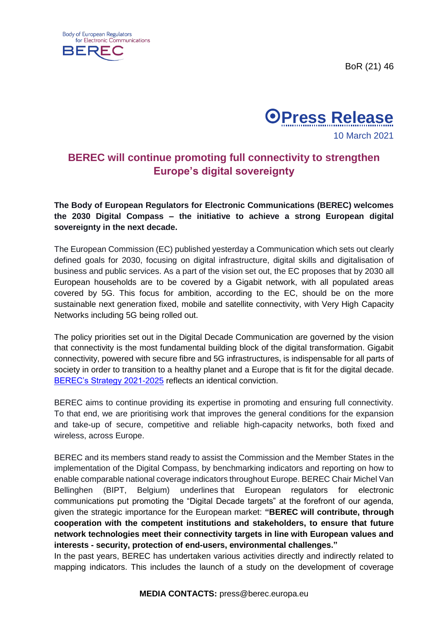BoR (21) 46





## **BEREC will continue promoting full connectivity to strengthen Europe's digital sovereignty**

**The Body of European Regulators for Electronic Communications (BEREC) welcomes the 2030 Digital Compass – the initiative to achieve a strong European digital sovereignty in the next decade.** 

The European Commission (EC) published yesterday a Communication which sets out clearly defined goals for 2030, focusing on digital infrastructure, digital skills and digitalisation of business and public services. As a part of the vision set out, the EC proposes that by 2030 all European households are to be covered by a Gigabit network, with all populated areas covered by 5G. This focus for ambition, according to the EC, should be on the more sustainable next generation fixed, mobile and satellite connectivity, with Very High Capacity Networks including 5G being rolled out.

The policy priorities set out in the Digital Decade Communication are governed by the vision that connectivity is the most fundamental building block of the digital transformation. Gigabit connectivity, powered with secure fibre and 5G infrastructures, is indispensable for all parts of society in order to transition to a healthy planet and a Europe that is fit for the digital decade. [BEREC's Strategy 2021-2025](https://berec.europa.eu/eng/document_register/subject_matter/berec/download/0/9281-berec-strategy-2021-2025_0.pdf) reflects an identical conviction.

BEREC aims to continue providing its expertise in promoting and ensuring full connectivity. To that end, we are prioritising work that improves the general conditions for the expansion and take-up of secure, competitive and reliable high-capacity networks, both fixed and wireless, across Europe.

BEREC and its members stand ready to assist the Commission and the Member States in the implementation of the Digital Compass, by benchmarking indicators and reporting on how to enable comparable national coverage indicators throughout Europe. BEREC Chair Michel Van Bellinghen (BIPT, Belgium) underlines that European regulators for electronic communications put promoting the "Digital Decade targets" at the forefront of our agenda, given the strategic importance for the European market: **"BEREC will contribute, through cooperation with the competent institutions and stakeholders, to ensure that future network technologies meet their connectivity targets in line with European values and interests - security, protection of end-users, environmental challenges."** 

In the past years, BEREC has undertaken various activities directly and indirectly related to mapping indicators. This includes the launch of a study on the development of coverage